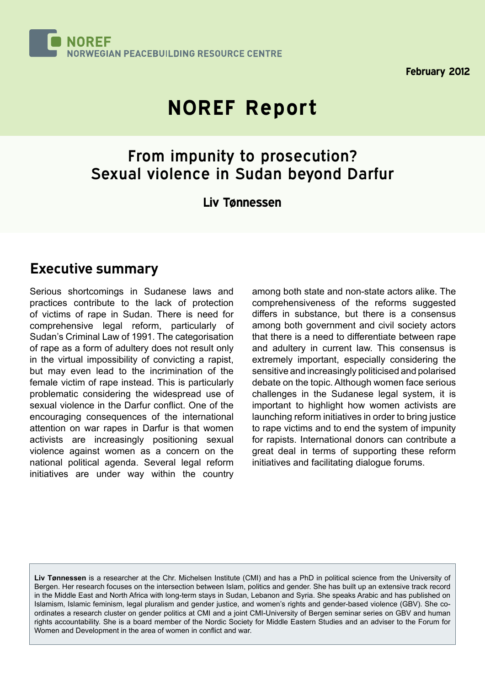

**February 2012**

# **NOREF Report**

# From impunity to prosecution? Sexual violence in Sudan beyond Darfur

#### **Liv Tønnessen**

#### **Executive summary**

Serious shortcomings in Sudanese laws and practices contribute to the lack of protection of victims of rape in Sudan. There is need for comprehensive legal reform, particularly of Sudan's Criminal Law of 1991. The categorisation of rape as a form of adultery does not result only in the virtual impossibility of convicting a rapist, but may even lead to the incrimination of the female victim of rape instead. This is particularly problematic considering the widespread use of sexual violence in the Darfur conflict. One of the encouraging consequences of the international attention on war rapes in Darfur is that women activists are increasingly positioning sexual violence against women as a concern on the national political agenda. Several legal reform initiatives are under way within the country

among both state and non-state actors alike. The comprehensiveness of the reforms suggested differs in substance, but there is a consensus among both government and civil society actors that there is a need to differentiate between rape and adultery in current law. This consensus is extremely important, especially considering the sensitive and increasingly politicised and polarised debate on the topic. Although women face serious challenges in the Sudanese legal system, it is important to highlight how women activists are launching reform initiatives in order to bring justice to rape victims and to end the system of impunity for rapists. International donors can contribute a great deal in terms of supporting these reform initiatives and facilitating dialogue forums.

**Liv Tønnessen** is a researcher at the Chr. Michelsen Institute (CMI) and has a PhD in political science from the University of Bergen. Her research focuses on the intersection between Islam, politics and gender. She has built up an extensive track record in the Middle East and North Africa with long-term stays in Sudan, Lebanon and Syria. She speaks Arabic and has published on Islamism, Islamic feminism, legal pluralism and gender justice, and women's rights and gender-based violence (GBV). She coordinates a research cluster on gender politics at CMI and a joint CMI-University of Bergen seminar series on GBV and human rights accountability. She is a board member of the Nordic Society for Middle Eastern Studies and an adviser to the Forum for Women and Development in the area of women in conflict and war.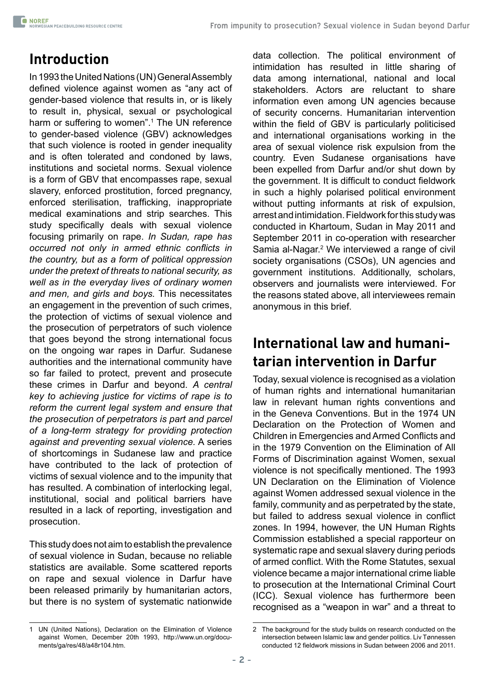# **Introduction**

In 1993 the United Nations (UN) General Assembly defined violence against women as "any act of gender-based violence that results in, or is likely to result in, physical, sexual or psychological harm or suffering to women".<sup>1</sup> The UN reference to gender-based violence (GBV) acknowledges that such violence is rooted in gender inequality and is often tolerated and condoned by laws, institutions and societal norms. Sexual violence is a form of GBV that encompasses rape, sexual slavery, enforced prostitution, forced pregnancy, enforced sterilisation, trafficking, inappropriate medical examinations and strip searches. This study specifically deals with sexual violence focusing primarily on rape. *In Sudan, rape has occurred not only in armed ethnic conflicts in the country, but as a form of political oppression under the pretext of threats to national security, as well as in the everyday lives of ordinary women and men, and girls and boys.* This necessitates an engagement in the prevention of such crimes, the protection of victims of sexual violence and the prosecution of perpetrators of such violence that goes beyond the strong international focus on the ongoing war rapes in Darfur. Sudanese authorities and the international community have so far failed to protect, prevent and prosecute these crimes in Darfur and beyond. *A central key to achieving justice for victims of rape is to reform the current legal system and ensure that the prosecution of perpetrators is part and parcel of a long-term strategy for providing protection against and preventing sexual violence.* A series of shortcomings in Sudanese law and practice have contributed to the lack of protection of victims of sexual violence and to the impunity that has resulted. A combination of interlocking legal, institutional, social and political barriers have resulted in a lack of reporting, investigation and prosecution.

This study does not aim to establish the prevalence of sexual violence in Sudan, because no reliable statistics are available. Some scattered reports on rape and sexual violence in Darfur have been released primarily by humanitarian actors, but there is no system of systematic nationwide

data collection. The political environment of intimidation has resulted in little sharing of data among international, national and local stakeholders. Actors are reluctant to share information even among UN agencies because of security concerns. Humanitarian intervention within the field of GBV is particularly politicised and international organisations working in the area of sexual violence risk expulsion from the country. Even Sudanese organisations have been expelled from Darfur and/or shut down by the government. It is difficult to conduct fieldwork in such a highly polarised political environment without putting informants at risk of expulsion, arrest and intimidation. Fieldwork for this study was conducted in Khartoum, Sudan in May 2011 and September 2011 in co-operation with researcher Samia al-Nagar.<sup>2</sup> We interviewed a range of civil society organisations (CSOs), UN agencies and government institutions. Additionally, scholars, observers and journalists were interviewed. For the reasons stated above, all interviewees remain anonymous in this brief.

## **International law and humanitarian intervention in Darfur**

Today, sexual violence is recognised as a violation of human rights and international humanitarian law in relevant human rights conventions and in the Geneva Conventions. But in the 1974 UN Declaration on the Protection of Women and Children in Emergencies and Armed Conflicts and in the 1979 Convention on the Elimination of All Forms of Discrimination against Women, sexual violence is not specifically mentioned. The 1993 UN Declaration on the Elimination of Violence against Women addressed sexual violence in the family, community and as perpetrated by the state, but failed to address sexual violence in conflict zones. In 1994, however, the UN Human Rights Commission established a special rapporteur on systematic rape and sexual slavery during periods of armed conflict. With the Rome Statutes, sexual violence became a major international crime liable to prosecution at the International Criminal Court (ICC). Sexual violence has furthermore been recognised as a "weapon in war" and a threat to

<sup>1</sup> UN (United Nations), Declaration on the Elimination of Violence against Women, December 20th 1993, [http://www.un.org/docu](http://www.un.org/documents/ga/res/48/a48r104.htm)[ments/ga/res/48/a48r104.htm.](http://www.un.org/documents/ga/res/48/a48r104.htm)

<sup>2</sup> The background for the study builds on research conducted on the intersection between Islamic law and gender politics. Liv Tønnessen conducted 12 fieldwork missions in Sudan between 2006 and 2011.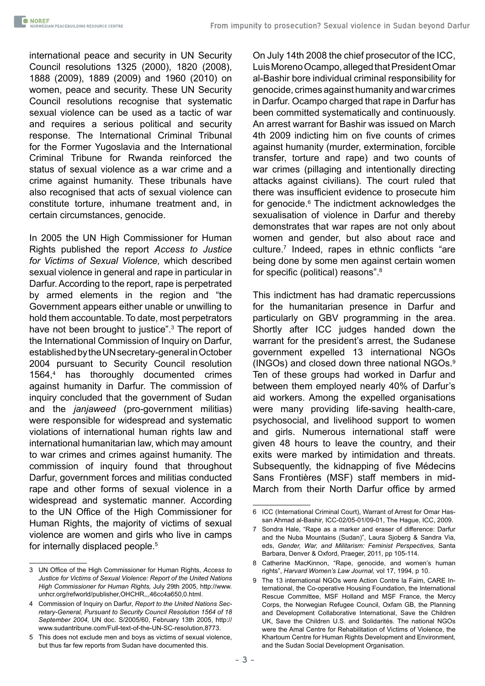international peace and security in UN Security Council resolutions 1325 (2000), 1820 (2008), 1888 (2009), 1889 (2009) and 1960 (2010) on women, peace and security. These UN Security Council resolutions recognise that systematic sexual violence can be used as a tactic of war and requires a serious political and security response. The International Criminal Tribunal for the Former Yugoslavia and the International Criminal Tribune for Rwanda reinforced the status of sexual violence as a war crime and a crime against humanity. These tribunals have also recognised that acts of sexual violence can constitute torture, inhumane treatment and, in certain circumstances, genocide.

In 2005 the UN High Commissioner for Human Rights published the report *Access to Justice for Victims of Sexual Violence,* which described sexual violence in general and rape in particular in Darfur. According to the report, rape is perpetrated by armed elements in the region and "the Government appears either unable or unwilling to hold them accountable. To date, most perpetrators have not been brought to justice".<sup>3</sup> The report of the International Commission of Inquiry on Darfur, established by the UN secretary-general in October 2004 pursuant to Security Council resolution 1564,<sup>4</sup> has thoroughly documented crimes against humanity in Darfur. The commission of inquiry concluded that the government of Sudan and the *janjaweed* (pro-government militias) were responsible for widespread and systematic violations of international human rights law and international humanitarian law, which may amount to war crimes and crimes against humanity. The commission of inquiry found that throughout Darfur, government forces and militias conducted rape and other forms of sexual violence in a widespread and systematic manner. According to the UN Office of the High Commissioner for Human Rights, the majority of victims of sexual violence are women and girls who live in camps for internally displaced people.5

On July 14th 2008 the chief prosecutor of the ICC, Luis Moreno Ocampo, alleged that President Omar al-Bashir bore individual criminal responsibility for genocide, crimes against humanity and war crimes in Darfur. Ocampo charged that rape in Darfur has been committed systematically and continuously. An arrest warrant for Bashir was issued on March 4th 2009 indicting him on five counts of crimes against humanity (murder, extermination, forcible transfer, torture and rape) and two counts of war crimes (pillaging and intentionally directing attacks against civilians). The court ruled that there was insufficient evidence to prosecute him for genocide.<sup>6</sup> The indictment acknowledges the sexualisation of violence in Darfur and thereby demonstrates that war rapes are not only about women and gender, but also about race and culture.7 Indeed, rapes in ethnic conflicts "are being done by some men against certain women for specific (political) reasons".<sup>8</sup>

This indictment has had dramatic repercussions for the humanitarian presence in Darfur and particularly on GBV programming in the area. Shortly after ICC judges handed down the warrant for the president's arrest, the Sudanese government expelled 13 international NGOs (INGOs) and closed down three national NGOs.<sup>9</sup> Ten of these groups had worked in Darfur and between them employed nearly 40% of Darfur's aid workers. Among the expelled organisations were many providing life-saving health-care, psychosocial, and livelihood support to women and girls. Numerous international staff were given 48 hours to leave the country, and their exits were marked by intimidation and threats. Subsequently, the kidnapping of five Médecins Sans Frontières (MSF) staff members in mid-March from their North Darfur office by armed

<sup>3</sup> UN Office of the High Commissioner for Human Rights, *Access to Justice for Victims of Sexual Violence: Report of the United Nations High Commissioner for Human Rights,* July 29th 2005, [http://www.](http://www.unhcr.org/refworld/publisher,OHCHR,,,46cc4a650,0.html) [unhcr.org/refworld/publisher,OHCHR,,,46cc4a650,0.html.](http://www.unhcr.org/refworld/publisher,OHCHR,,,46cc4a650,0.html)

<sup>4</sup> Commission of Inquiry on Darfur, *Report to the United Nations Secretary-General, Pursuant to Security Council Resolution 1564 of 18 September 2004,* UN doc. S/2005/60, February 13th 2005, http:// www.sudantribune.com/Full-text-of-the-UN-SC-resolution,8773.

<sup>5</sup> This does not exclude men and boys as victims of sexual violence, but thus far few reports from Sudan have documented this.

<sup>6</sup> ICC (International Criminal Court), Warrant of Arrest for Omar Hassan Ahmad al-Bashir, ICC-02/05-01/09-01, The Hague, ICC, 2009.

<sup>7</sup> Sondra Hale, "Rape as a marker and eraser of difference: Darfur and the Nuba Mountains (Sudan)", Laura Sjoberg & Sandra Via, eds, *Gender, War, and Militarism: Feminist Perspectives,* Santa Barbara, Denver & Oxford, Praeger, 2011, pp 105-114.

<sup>8</sup> Catherine MacKinnon, "Rape, genocide, and women's human rights", *Harvard Women's Law Journal,* vol 17, 1994, p 10.

<sup>9</sup> The 13 international NGOs were Action Contre la Faim, CARE International, the Co-operative Housing Foundation, the International Rescue Committee, MSF Holland and MSF France, the Mercy Corps, the Norwegian Refugee Council, Oxfam GB, the Planning and Development Collaborative International, Save the Children UK, Save the Children U.S. and Solidarités. The national NGOs were the Amal Centre for Rehabilitation of Victims of Violence, the Khartoum Centre for Human Rights Development and Environment, and the Sudan Social Development Organisation.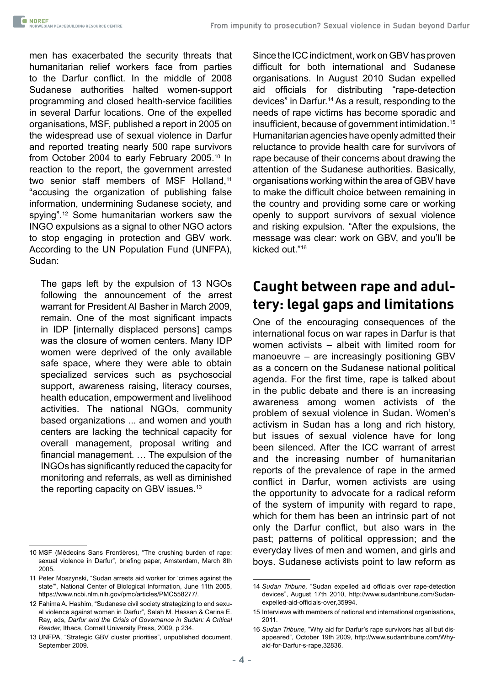men has exacerbated the security threats that humanitarian relief workers face from parties to the Darfur conflict. In the middle of 2008 Sudanese authorities halted women-support programming and closed health-service facilities in several Darfur locations. One of the expelled organisations, MSF, published a report in 2005 on the widespread use of sexual violence in Darfur and reported treating nearly 500 rape survivors from October 2004 to early February 2005.10 In reaction to the report, the government arrested two senior staff members of MSF Holland,<sup>11</sup> "accusing the organization of publishing false information, undermining Sudanese society, and spying".12 Some humanitarian workers saw the INGO expulsions as a signal to other NGO actors to stop engaging in protection and GBV work. According to the UN Population Fund (UNFPA), Sudan:

The gaps left by the expulsion of 13 NGOs following the announcement of the arrest warrant for President Al Basher in March 2009, remain. One of the most significant impacts in IDP [internally displaced persons] camps was the closure of women centers. Many IDP women were deprived of the only available safe space, where they were able to obtain specialized services such as psychosocial support, awareness raising, literacy courses, health education, empowerment and livelihood activities. The national NGOs, community based organizations ... and women and youth centers are lacking the technical capacity for overall management, proposal writing and financial management. … The expulsion of the INGOs has significantly reduced the capacity for monitoring and referrals, as well as diminished the reporting capacity on GBV issues.<sup>13</sup>

Since the ICC indictment, work on GBV has proven difficult for both international and Sudanese organisations. In August 2010 Sudan expelled aid officials for distributing "rape-detection devices" in Darfur.14 As a result, responding to the needs of rape victims has become sporadic and insufficient, because of government intimidation.<sup>15</sup> Humanitarian agencies have openly admitted their reluctance to provide health care for survivors of rape because of their concerns about drawing the attention of the Sudanese authorities. Basically, organisations working within the area of GBV have to make the difficult choice between remaining in the country and providing some care or working openly to support survivors of sexual violence and risking expulsion. "After the expulsions, the message was clear: work on GBV, and you'll be kicked out."<sup>16</sup>

#### **Caught between rape and adultery: legal gaps and limitations**

One of the encouraging consequences of the international focus on war rapes in Darfur is that women activists – albeit with limited room for manoeuvre – are increasingly positioning GBV as a concern on the Sudanese national political agenda. For the first time, rape is talked about in the public debate and there is an increasing awareness among women activists of the problem of sexual violence in Sudan. Women's activism in Sudan has a long and rich history, but issues of sexual violence have for long been silenced. After the ICC warrant of arrest and the increasing number of humanitarian reports of the prevalence of rape in the armed conflict in Darfur, women activists are using the opportunity to advocate for a radical reform of the system of impunity with regard to rape, which for them has been an intrinsic part of not only the Darfur conflict, but also wars in the past; patterns of political oppression; and the everyday lives of men and women, and girls and boys. Sudanese activists point to law reform as

<sup>10</sup> MSF (Médecins Sans Frontières), "The crushing burden of rape: sexual violence in Darfur", briefing paper, Amsterdam, March 8th 2005.

<sup>11</sup> Peter Moszynski, "Sudan arrests aid worker for 'crimes against the state'", National Center of Biological Information, June 11th 2005, <https://www.ncbi.nlm.nih.gov/pmc/articles/PMC558277/>.

<sup>12</sup> Fahima A. Hashim, "Sudanese civil society strategizing to end sexual violence against women in Darfur", Salah M. Hassan & Carina E. Ray, eds, *Darfur and the Crisis of Governance in Sudan: A Critical Reader,* Ithaca, Cornell University Press, 2009, p 234.

<sup>13</sup> UNFPA, "Strategic GBV cluster priorities", unpublished document, September 2009.

<sup>14</sup> *Sudan Tribune,* "Sudan expelled aid officials over rape-detection devices", August 17th 2010, [http://www.sudantribune.com/Sudan](http://www.sudantribune.com/Sudan-expelled-aid-officials-over,35994)[expelled-aid-officials-over,35994](http://www.sudantribune.com/Sudan-expelled-aid-officials-over,35994).

<sup>15</sup> Interviews with members of national and international organisations, 2011.

<sup>16</sup> *Sudan Tribune,* "Why aid for Darfur's rape survivors has all but disappeared", October 19th 2009, [http://www.sudantribune.com/Why](http://www.sudantribune.com/Why-aid-for-Darfur-s-rape,32836)[aid-for-Darfur-s-rape,32836](http://www.sudantribune.com/Why-aid-for-Darfur-s-rape,32836).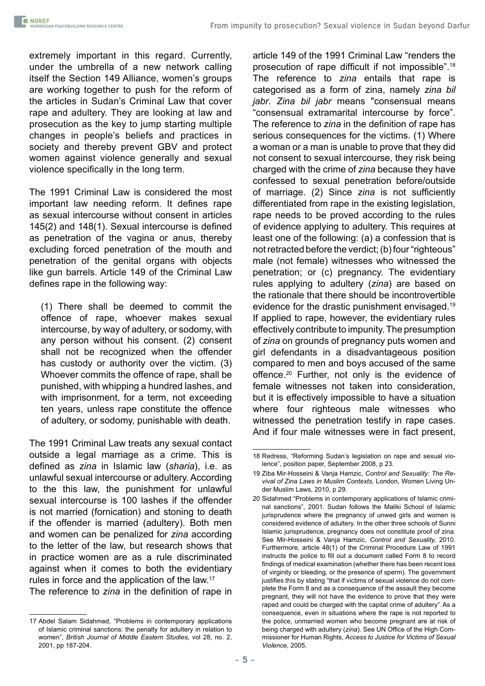extremely important in this regard. Currently, under the umbrella of a new network calling itself the Section 149 Alliance, women's groups are working together to push for the reform of the articles in Sudan's Criminal Law that cover rape and adultery. They are looking at law and prosecution as the key to jump starting multiple changes in people's beliefs and practices in society and thereby prevent GBV and protect women against violence generally and sexual violence specifically in the long term.

The 1991 Criminal Law is considered the most important law needing reform. It defines rape as sexual intercourse without consent in articles 145(2) and 148(1). Sexual intercourse is defined as penetration of the vagina or anus, thereby excluding forced penetration of the mouth and penetration of the genital organs with objects like gun barrels. Article 149 of the Criminal Law defines rape in the following way:

(1) There shall be deemed to commit the offence of rape, whoever makes sexual intercourse, by way of adultery, or sodomy, with any person without his consent. (2) consent shall not be recognized when the offender has custody or authority over the victim. (3) Whoever commits the offence of rape, shall be punished, with whipping a hundred lashes, and with imprisonment, for a term, not exceeding ten years, unless rape constitute the offence of adultery, or sodomy, punishable with death.

The 1991 Criminal Law treats any sexual contact outside a legal marriage as a crime. This is defined as *zina* in Islamic law (*sharia*), i.e. as unlawful sexual intercourse or adultery. According to the this law, the punishment for unlawful sexual intercourse is 100 lashes if the offender is not married (fornication) and stoning to death if the offender is married (adultery). Both men and women can be penalized for *zina* according to the letter of the law, but research shows that in practice women are as a rule discriminated against when it comes to both the evidentiary rules in force and the application of the law.17

The reference to *zina* in the definition of rape in

article 149 of the 1991 Criminal Law "renders the prosecution of rape difficult if not impossible".<sup>18</sup> The reference to *zina* entails that rape is categorised as a form of zina, namely *zina bil jabr*. *Zina bil jabr* means "consensual means "consensual extramarital intercourse by force". The reference to *zina* in the definition of rape has serious consequences for the victims. (1) Where a woman or a man is unable to prove that they did not consent to sexual intercourse, they risk being charged with the crime of *zina* because they have confessed to sexual penetration before/outside of marriage. (2) Since *zina* is not sufficiently differentiated from rape in the existing legislation, rape needs to be proved according to the rules of evidence applying to adultery. This requires at least one of the following: (a) a confession that is not retracted before the verdict; (b) four "righteous" male (not female) witnesses who witnessed the penetration; or (c) pregnancy. The evidentiary rules applying to adultery (*zina*) are based on the rationale that there should be incontrovertible evidence for the drastic punishment envisaged.19 If applied to rape, however, the evidentiary rules effectively contribute to impunity. The presumption of *zina* on grounds of pregnancy puts women and girl defendants in a disadvantageous position compared to men and boys accused of the same offence.20 Further, not only is the evidence of female witnesses not taken into consideration, but it is effectively impossible to have a situation where four righteous male witnesses who witnessed the penetration testify in rape cases. And if four male witnesses were in fact present,

<sup>17</sup> Abdel Salam Sidahmed, "Problems in contemporary applications of Islamic criminal sanctions: the penalty for adultery in relation to women", *British Journal of Middle Eastern Studies,* vol 28, no. 2, 2001, pp 187-204.

<sup>18</sup> Redress, "Reforming Sudan's legislation on rape and sexual violence", position paper, September 2008, p 23.

<sup>19</sup> Ziba Mir-Hosseini & Vanja Hamzic, *Control and Sexuality: The Revival of Zina Laws in Muslim Contexts,* London, Women Living Under Muslim Laws, 2010, p 29.

<sup>20</sup> Sidahmed "Problems in contemporary applications of Islamic criminal sanctions", 2001. Sudan follows the Maliki School of Islamic jurisprudence where the pregnancy of unwed girls and women is considered evidence of adultery. In the other three schools of Sunni Islamic jurisprudence, pregnancy does not constitute proof of zina. See Mir-Hosseini & Vanja Hamzic, *Control and Sexuality,* 2010. Furthermore, article 48(1) of the Criminal Procedure Law of 1991 instructs the police to fill out a document called Form 8 to record findings of medical examination (whether there has been recent loss of virginity or bleeding, or the presence of sperm). The government justifies this by stating "that if victims of sexual violence do not complete the Form 8 and as a consequence of the assault they become pregnant, they will not have the evidence to prove that they were raped and could be charged with the capital crime of adultery".As a consequence, even in situations where the rape is not reported to the police, unmarried women who become pregnant are at risk of being charged with adultery (*zina*). See UN Office of the High Commissioner for Human Rights, *Access to Justice for Victims of Sexual Violence,* 2005.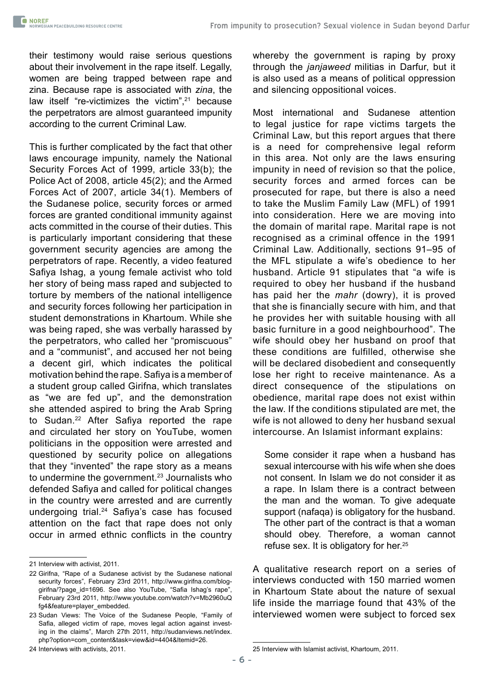their testimony would raise serious questions about their involvement in the rape itself. Legally, women are being trapped between rape and zina. Because rape is associated with *zina*, the law itself "re-victimizes the victim", $21$  because the perpetrators are almost guaranteed impunity according to the current Criminal Law.

This is further complicated by the fact that other laws encourage impunity, namely the National Security Forces Act of 1999, article 33(b); the Police Act of 2008, article 45(2); and the Armed Forces Act of 2007, article 34(1). Members of the Sudanese police, security forces or armed forces are granted conditional immunity against acts committed in the course of their duties. This is particularly important considering that these government security agencies are among the perpetrators of rape. Recently, a video featured Safiya Ishag, a young female activist who told her story of being mass raped and subjected to torture by members of the national intelligence and security forces following her participation in student demonstrations in Khartoum. While she was being raped, she was verbally harassed by the perpetrators, who called her "promiscuous" and a "communist", and accused her not being a decent girl, which indicates the political motivation behind the rape. Safiya is a member of a student group called Girifna, which translates as "we are fed up", and the demonstration she attended aspired to bring the Arab Spring to Sudan.22 After Safiya reported the rape and circulated her story on YouTube, women politicians in the opposition were arrested and questioned by security police on allegations that they "invented" the rape story as a means to undermine the government.<sup>23</sup> Journalists who defended Safiya and called for political changes in the country were arrested and are currently undergoing trial.<sup>24</sup> Safiya's case has focused attention on the fact that rape does not only occur in armed ethnic conflicts in the country

whereby the government is raping by proxy through the *janjaweed* militias in Darfur, but it is also used as a means of political oppression and silencing oppositional voices.

Most international and Sudanese attention to legal justice for rape victims targets the Criminal Law, but this report argues that there is a need for comprehensive legal reform in this area. Not only are the laws ensuring impunity in need of revision so that the police, security forces and armed forces can be prosecuted for rape, but there is also a need to take the Muslim Family Law (MFL) of 1991 into consideration. Here we are moving into the domain of marital rape. Marital rape is not recognised as a criminal offence in the 1991 Criminal Law. Additionally, sections 91–95 of the MFL stipulate a wife's obedience to her husband. Article 91 stipulates that "a wife is required to obey her husband if the husband has paid her the *mahr* (dowry), it is proved that she is financially secure with him, and that he provides her with suitable housing with all basic furniture in a good neighbourhood". The wife should obey her husband on proof that these conditions are fulfilled, otherwise she will be declared disobedient and consequently lose her right to receive maintenance. As a direct consequence of the stipulations on obedience, marital rape does not exist within the law. If the conditions stipulated are met, the wife is not allowed to deny her husband sexual intercourse. An Islamist informant explains:

Some consider it rape when a husband has sexual intercourse with his wife when she does not consent. In Islam we do not consider it as a rape. In Islam there is a contract between the man and the woman. To give adequate support (nafaqa) is obligatory for the husband. The other part of the contract is that a woman should obey. Therefore, a woman cannot refuse sex. It is obligatory for her.25

A qualitative research report on a series of interviews conducted with 150 married women in Khartoum State about the nature of sexual life inside the marriage found that 43% of the interviewed women were subject to forced sex

25 Interview with Islamist activist, Khartoum, 2011.

<sup>21</sup> Interview with activist, 2011.

<sup>22</sup> Girifna, "Rape of a Sudanese activist by the Sudanese national security forces", February 23rd 2011, [http://www.girifna.com/blog](http://www.girifna.com/blog-girifna/?page_id=1696)[girifna/?page\\_id=1696.](http://www.girifna.com/blog-girifna/?page_id=1696) See also YouTube, "Safia Ishag's rape", February 23rd 2011, [http://www.youtube.com/watch?v=Mb2960uQ](http://www.youtube.com/watch?v=Mb2960uQfg4&feature=player_embedded) [fg4&feature=player\\_embedded](http://www.youtube.com/watch?v=Mb2960uQfg4&feature=player_embedded).

<sup>23</sup> Sudan Views: The Voice of the Sudanese People, "Family of Safia, alleged victim of rape, moves legal action against investing in the claims", March 27th 2011, [http://sudanviews.net/index.](http://sudanviews.net/index.php?option=com_content&task=view&id=4404&Itemid=26) [php?option=com\\_content&task=view&id=4404&Itemid=26.](http://sudanviews.net/index.php?option=com_content&task=view&id=4404&Itemid=26)

<sup>24</sup> Interviews with activists, 2011.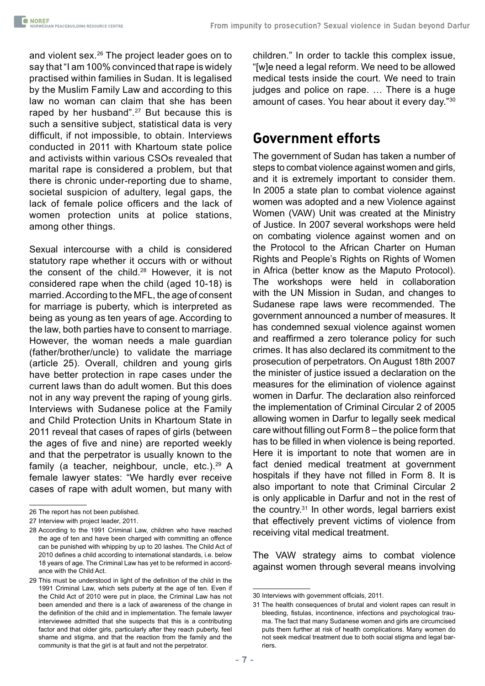and violent sex.<sup>26</sup> The project leader goes on to say that "I am 100% convinced that rape is widely practised within families in Sudan. It is legalised by the Muslim Family Law and according to this law no woman can claim that she has been raped by her husband".<sup>27</sup> But because this is such a sensitive subject, statistical data is very difficult, if not impossible, to obtain. Interviews conducted in 2011 with Khartoum state police and activists within various CSOs revealed that marital rape is considered a problem, but that there is chronic under-reporting due to shame, societal suspicion of adultery, legal gaps, the lack of female police officers and the lack of women protection units at police stations, among other things.

Sexual intercourse with a child is considered statutory rape whether it occurs with or without the consent of the child.28 However, it is not considered rape when the child (aged 10-18) is married. According to the MFL, the age of consent for marriage is puberty, which is interpreted as being as young as ten years of age. According to the law, both parties have to consent to marriage. However, the woman needs a male guardian (father/brother/uncle) to validate the marriage (article 25). Overall, children and young girls have better protection in rape cases under the current laws than do adult women. But this does not in any way prevent the raping of young girls. Interviews with Sudanese police at the Family and Child Protection Units in Khartoum State in 2011 reveal that cases of rapes of girls (between the ages of five and nine) are reported weekly and that the perpetrator is usually known to the family (a teacher, neighbour, uncle, etc.).29 A female lawyer states: "We hardly ever receive cases of rape with adult women, but many with

children." In order to tackle this complex issue, "[w]e need a legal reform. We need to be allowed medical tests inside the court. We need to train judges and police on rape. … There is a huge amount of cases. You hear about it every day."30

#### **Government efforts**

The government of Sudan has taken a number of steps to combat violence against women and girls, and it is extremely important to consider them. In 2005 a state plan to combat violence against women was adopted and a new Violence against Women (VAW) Unit was created at the Ministry of Justice. In 2007 several workshops were held on combating violence against women and on the Protocol to the African Charter on Human Rights and People's Rights on Rights of Women in Africa (better know as the Maputo Protocol). The workshops were held in collaboration with the UN Mission in Sudan, and changes to Sudanese rape laws were recommended. The government announced a number of measures. It has condemned sexual violence against women and reaffirmed a zero tolerance policy for such crimes. It has also declared its commitment to the prosecution of perpetrators. On August 18th 2007 the minister of justice issued a declaration on the measures for the elimination of violence against women in Darfur. The declaration also reinforced the implementation of Criminal Circular 2 of 2005 allowing women in Darfur to legally seek medical care without filling out Form 8 – the police form that has to be filled in when violence is being reported. Here it is important to note that women are in fact denied medical treatment at government hospitals if they have not filled in Form 8. It is also important to note that Criminal Circular 2 is only applicable in Darfur and not in the rest of the country.31 In other words, legal barriers exist that effectively prevent victims of violence from receiving vital medical treatment.

The VAW strategy aims to combat violence against women through several means involving

<sup>26</sup> The report has not been published.

<sup>27</sup> Interview with project leader, 2011.

<sup>28</sup> According to the 1991 Criminal Law, children who have reached the age of ten and have been charged with committing an offence can be punished with whipping by up to 20 lashes. The Child Act of 2010 defines a child according to international standards, i.e. below 18 years of age. The Criminal Law has yet to be reformed in accordance with the Child Act.

<sup>29</sup> This must be understood in light of the definition of the child in the 1991 Criminal Law, which sets puberty at the age of ten. Even if the Child Act of 2010 were put in place, the Criminal Law has not been amended and there is a lack of awareness of the change in the definition of the child and in implementation. The female lawyer interviewee admitted that she suspects that this is a contributing factor and that older girls, particularly after they reach puberty, feel shame and stigma, and that the reaction from the family and the community is that the girl is at fault and not the perpetrator.

<sup>30</sup> Interviews with government officials, 2011.

<sup>31</sup> The health consequences of brutal and violent rapes can result in bleeding, fistulas, incontinence, infections and psychological trauma. The fact that many Sudanese women and girls are circumcised puts them further at risk of health complications. Many women do not seek medical treatment due to both social stigma and legal barriers.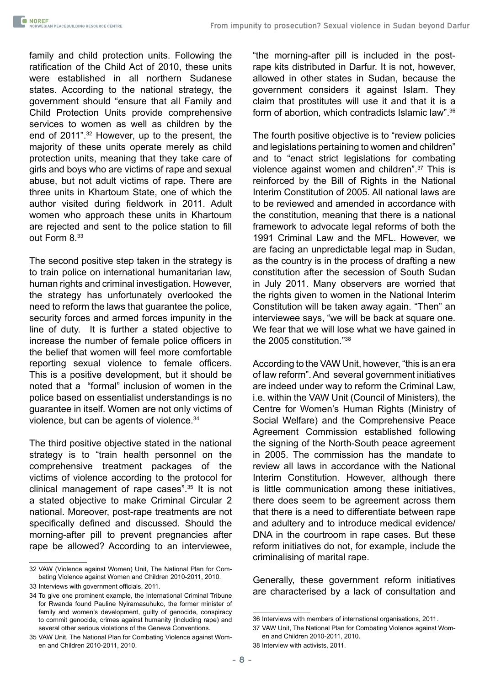family and child protection units. Following the ratification of the Child Act of 2010, these units were established in all northern Sudanese states. According to the national strategy, the government should "ensure that all Family and Child Protection Units provide comprehensive services to women as well as children by the end of 2011".32 However, up to the present, the majority of these units operate merely as child protection units, meaning that they take care of girls and boys who are victims of rape and sexual abuse, but not adult victims of rape. There are three units in Khartoum State, one of which the author visited during fieldwork in 2011. Adult women who approach these units in Khartoum are rejected and sent to the police station to fill out Form 8.33

The second positive step taken in the strategy is to train police on international humanitarian law, human rights and criminal investigation. However, the strategy has unfortunately overlooked the need to reform the laws that guarantee the police, security forces and armed forces impunity in the line of duty. It is further a stated objective to increase the number of female police officers in the belief that women will feel more comfortable reporting sexual violence to female officers. This is a positive development, but it should be noted that a "formal" inclusion of women in the police based on essentialist understandings is no guarantee in itself. Women are not only victims of violence, but can be agents of violence.34

The third positive objective stated in the national strategy is to "train health personnel on the comprehensive treatment packages of the victims of violence according to the protocol for clinical management of rape cases".35 It is not a stated objective to make Criminal Circular 2 national. Moreover, post-rape treatments are not specifically defined and discussed. Should the morning-after pill to prevent pregnancies after rape be allowed? According to an interviewee,

"the morning-after pill is included in the postrape kits distributed in Darfur. It is not, however, allowed in other states in Sudan, because the government considers it against Islam. They claim that prostitutes will use it and that it is a form of abortion, which contradicts Islamic law".<sup>36</sup>

The fourth positive objective is to "review policies and legislations pertaining to women and children" and to "enact strict legislations for combating violence against women and children".37 This is reinforced by the Bill of Rights in the National Interim Constitution of 2005. All national laws are to be reviewed and amended in accordance with the constitution, meaning that there is a national framework to advocate legal reforms of both the 1991 Criminal Law and the MFL. However, we are facing an unpredictable legal map in Sudan, as the country is in the process of drafting a new constitution after the secession of South Sudan in July 2011. Many observers are worried that the rights given to women in the National Interim Constitution will be taken away again. "Then" an interviewee says, "we will be back at square one. We fear that we will lose what we have gained in the 2005 constitution."38

According to the VAW Unit, however, "this is an era of law reform". And several government initiatives are indeed under way to reform the Criminal Law, i.e. within the VAW Unit (Council of Ministers), the Centre for Women's Human Rights (Ministry of Social Welfare) and the Comprehensive Peace Agreement Commission established following the signing of the North-South peace agreement in 2005. The commission has the mandate to review all laws in accordance with the National Interim Constitution. However, although there is little communication among these initiatives, there does seem to be agreement across them that there is a need to differentiate between rape and adultery and to introduce medical evidence/ DNA in the courtroom in rape cases. But these reform initiatives do not, for example, include the criminalising of marital rape.

Generally, these government reform initiatives are characterised by a lack of consultation and

<sup>32</sup> VAW (Violence against Women) Unit, The National Plan for Combating Violence against Women and Children 2010-2011, 2010.

<sup>33</sup> Interviews with government officials, 2011.

<sup>34</sup> To give one prominent example, the International Criminal Tribune for Rwanda found Pauline Nyiramasuhuko, the former minister of family and women's development, guilty of genocide, conspiracy to commit genocide, crimes against humanity (including rape) and several other serious violations of the Geneva Conventions.

<sup>35</sup> VAW Unit, The National Plan for Combating Violence against Women and Children 2010-2011, 2010.

<sup>36</sup> Interviews with members of international organisations, 2011.

<sup>37</sup> VAW Unit, The National Plan for Combating Violence against Women and Children 2010-2011, 2010.

<sup>38</sup> Interview with activists, 2011.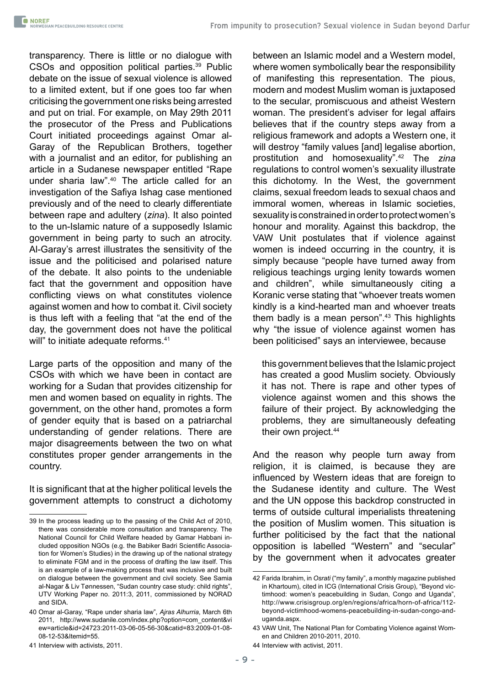transparency. There is little or no dialogue with CSOs and opposition political parties.<sup>39</sup> Public debate on the issue of sexual violence is allowed to a limited extent, but if one goes too far when criticising the government one risks being arrested and put on trial. For example, on May 29th 2011 the prosecutor of the Press and Publications Court initiated proceedings against Omar al-Garay of the Republican Brothers, together with a journalist and an editor, for publishing an article in a Sudanese newspaper entitled "Rape under sharia law".40 The article called for an investigation of the Safiya Ishag case mentioned previously and of the need to clearly differentiate between rape and adultery (*zina*). It also pointed to the un-Islamic nature of a supposedly Islamic government in being party to such an atrocity. Al-Garay's arrest illustrates the sensitivity of the issue and the politicised and polarised nature of the debate. It also points to the undeniable fact that the government and opposition have conflicting views on what constitutes violence against women and how to combat it. Civil society is thus left with a feeling that "at the end of the day, the government does not have the political will" to initiate adequate reforms.<sup>41</sup>

Large parts of the opposition and many of the CSOs with which we have been in contact are working for a Sudan that provides citizenship for men and women based on equality in rights. The government, on the other hand, promotes a form of gender equity that is based on a patriarchal understanding of gender relations. There are major disagreements between the two on what constitutes proper gender arrangements in the country.

It is significant that at the higher political levels the government attempts to construct a dichotomy between an Islamic model and a Western model, where women symbolically bear the responsibility of manifesting this representation. The pious, modern and modest Muslim woman is juxtaposed to the secular, promiscuous and atheist Western woman. The president's adviser for legal affairs believes that if the country steps away from a religious framework and adopts a Western one, it will destroy "family values [and] legalise abortion, prostitution and homosexuality".42 The *zina* regulations to control women's sexuality illustrate this dichotomy. In the West, the government claims, sexual freedom leads to sexual chaos and immoral women, whereas in Islamic societies, sexuality is constrained in order to protect women's honour and morality. Against this backdrop, the VAW Unit postulates that if violence against women is indeed occurring in the country, it is simply because "people have turned away from religious teachings urging lenity towards women and children", while simultaneously citing a Koranic verse stating that "whoever treats women kindly is a kind-hearted man and whoever treats them badly is a mean person".43 This highlights why "the issue of violence against women has been politicised" says an interviewee, because

this government believes that the Islamic project has created a good Muslim society. Obviously it has not. There is rape and other types of violence against women and this shows the failure of their project. By acknowledging the problems, they are simultaneously defeating their own project.<sup>44</sup>

And the reason why people turn away from religion, it is claimed, is because they are influenced by Western ideas that are foreign to the Sudanese identity and culture. The West and the UN oppose this backdrop constructed in terms of outside cultural imperialists threatening the position of Muslim women. This situation is further politicised by the fact that the national opposition is labelled "Western" and "secular" by the government when it advocates greater

<sup>39</sup> In the process leading up to the passing of the Child Act of 2010, there was considerable more consultation and transparency. The National Council for Child Welfare headed by Gamar Habbani included opposition NGOs (e.g. the Babiker Badri Scientific Association for Women's Studies) in the drawing up of the national strategy to eliminate FGM and in the process of drafting the law itself. This is an example of a law-making process that was inclusive and built on dialogue between the government and civil society. See Samia al-Nagar & Liv Tønnessen, "Sudan country case study: child rights", UTV Working Paper no. 2011:3, 2011, commissioned by NORAD and SIDA.

<sup>40</sup> Omar al-Garay, "Rape under sharia law", *Ajras Alhurria*, March 6th 2011, [http://www.sudanile.com/index.php?option=com\\_content&vi](http://www.sudanile.com/index.php?option=com_content&view=article&id=24723:2011-03-06-05-56-30&catid=83:2009-01-08-08-12-53&Itemid=55) [ew=article&id=24723:2011-03-06-05-56-30&catid=83:2009-01-08-](http://www.sudanile.com/index.php?option=com_content&view=article&id=24723:2011-03-06-05-56-30&catid=83:2009-01-08-08-12-53&Itemid=55) [08-12-53&Itemid=55](http://www.sudanile.com/index.php?option=com_content&view=article&id=24723:2011-03-06-05-56-30&catid=83:2009-01-08-08-12-53&Itemid=55).

<sup>41</sup> Interview with activists, 2011.

<sup>42</sup> Farida Ibrahim, in *Osrati* ("my family", a monthly magazine published in Khartoum), cited in ICG (International Crisis Group), "Beyond victimhood: women's peacebuilding in Sudan, Congo and Uganda", http://www.crisisgroup.org/en/regions/africa/horn-of-africa/112 beyond-victimhood-womens-peacebuilding-in-sudan-congo-anduganda.aspx.

<sup>43</sup> VAW Unit, The National Plan for Combating Violence against Women and Children 2010-2011, 2010.

<sup>44</sup> Interview with activist, 2011.